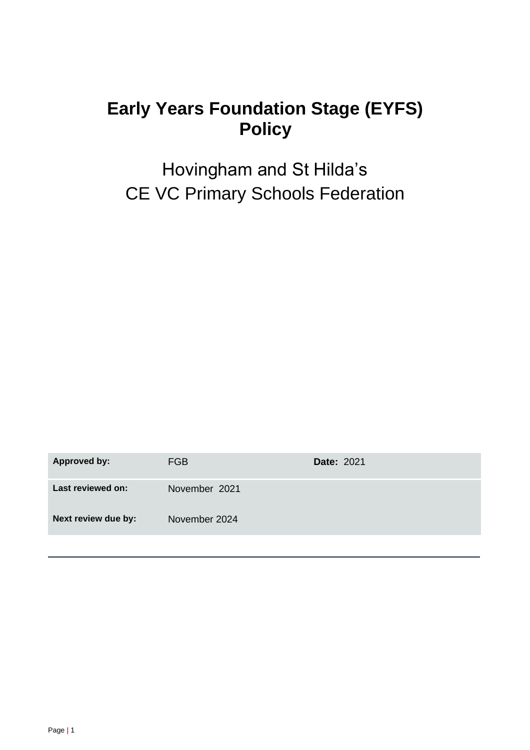# **Early Years Foundation Stage (EYFS) Policy**

Hovingham and St Hilda's CE VC Primary Schools Federation

**Approved by:** FGB **Date:** 2021 Last reviewed on: November 2021 **Next review due by:** November 2024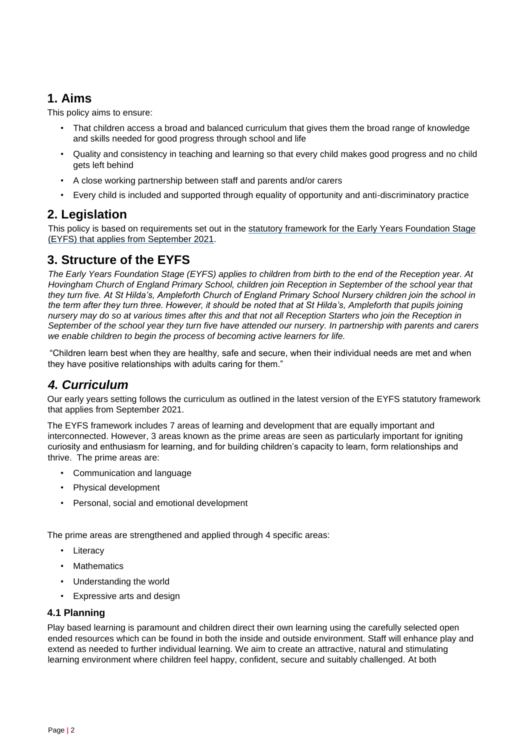## **1. Aims**

This policy aims to ensure:

- That children access a broad and balanced curriculum that gives them the broad range of knowledge and skills needed for good progress through school and life
- Quality and consistency in teaching and learning so that every child makes good progress and no child gets left behind
- A close working partnership between staff and parents and/or carers
- Every child is included and supported through equality of opportunity and anti-discriminatory practice

### **2. Legislation**

This policy is based on requirements set out in the [statutory framework for the Early Years Foundation Stage](https://www.gov.uk/government/publications/early-years-foundation-stage-framework--2/) [\(EYFS\)](https://www.gov.uk/government/publications/early-years-foundation-stage-framework--2/) [that](https://www.gov.uk/government/publications/early-years-foundation-stage-framework--2/) [applies from September 2021.](https://www.gov.uk/government/publications/early-years-foundation-stage-framework--2/)

# **3. Structure of the EYFS**

*The Early Years Foundation Stage (EYFS) applies to children from birth to the end of the Reception year. At Hovingham Church of England Primary School, children join Reception in September of the school year that they turn five. At St Hilda's, Ampleforth Church of England Primary School Nursery children join the school in the term after they turn three. However, it should be noted that at St Hilda's, Ampleforth that pupils joining nursery may do so at various times after this and that not all Reception Starters who join the Reception in September of the school year they turn five have attended our nursery. In partnership with parents and carers we enable children to begin the process of becoming active learners for life.* 

"Children learn best when they are healthy, safe and secure, when their individual needs are met and when they have positive relationships with adults caring for them."

# *4. Curriculum*

Our early years setting follows the curriculum as outlined in the latest version of the EYFS statutory framework that applies from September 2021.

The EYFS framework includes 7 areas of learning and development that are equally important and interconnected. However, 3 areas known as the prime areas are seen as particularly important for igniting curiosity and enthusiasm for learning, and for building children's capacity to learn, form relationships and thrive. The prime areas are:

- Communication and language
- Physical development
- Personal, social and emotional development

The prime areas are strengthened and applied through 4 specific areas:

- Literacy
- Mathematics
- Understanding the world
- Expressive arts and design

#### **4.1 Planning**

Play based learning is paramount and children direct their own learning using the carefully selected open ended resources which can be found in both the inside and outside environment. Staff will enhance play and extend as needed to further individual learning. We aim to create an attractive, natural and stimulating learning environment where children feel happy, confident, secure and suitably challenged. At both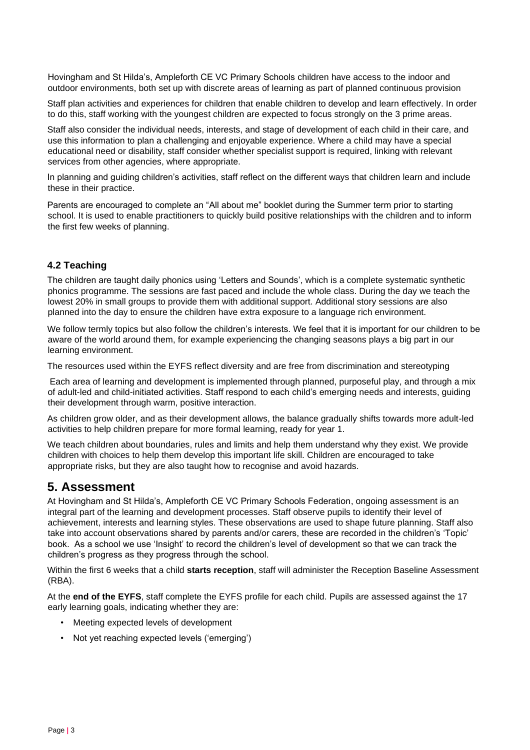Hovingham and St Hilda's, Ampleforth CE VC Primary Schools children have access to the indoor and outdoor environments, both set up with discrete areas of learning as part of planned continuous provision

Staff plan activities and experiences for children that enable children to develop and learn effectively. In order to do this, staff working with the youngest children are expected to focus strongly on the 3 prime areas.

Staff also consider the individual needs, interests, and stage of development of each child in their care, and use this information to plan a challenging and enjoyable experience. Where a child may have a special educational need or disability, staff consider whether specialist support is required, linking with relevant services from other agencies, where appropriate.

In planning and guiding children's activities, staff reflect on the different ways that children learn and include these in their practice.

Parents are encouraged to complete an "All about me" booklet during the Summer term prior to starting school. It is used to enable practitioners to quickly build positive relationships with the children and to inform the first few weeks of planning.

#### **4.2 Teaching**

The children are taught daily phonics using 'Letters and Sounds', which is a complete systematic synthetic phonics programme. The sessions are fast paced and include the whole class. During the day we teach the lowest 20% in small groups to provide them with additional support. Additional story sessions are also planned into the day to ensure the children have extra exposure to a language rich environment.

We follow termly topics but also follow the children's interests. We feel that it is important for our children to be aware of the world around them, for example experiencing the changing seasons plays a big part in our learning environment.

The resources used within the EYFS reflect diversity and are free from discrimination and stereotyping

Each area of learning and development is implemented through planned, purposeful play, and through a mix of adult-led and child-initiated activities. Staff respond to each child's emerging needs and interests, guiding their development through warm, positive interaction.

As children grow older, and as their development allows, the balance gradually shifts towards more adult-led activities to help children prepare for more formal learning, ready for year 1.

We teach children about boundaries, rules and limits and help them understand why they exist. We provide children with choices to help them develop this important life skill. Children are encouraged to take appropriate risks, but they are also taught how to recognise and avoid hazards.

#### **5. Assessment**

At Hovingham and St Hilda's, Ampleforth CE VC Primary Schools Federation, ongoing assessment is an integral part of the learning and development processes. Staff observe pupils to identify their level of achievement, interests and learning styles. These observations are used to shape future planning. Staff also take into account observations shared by parents and/or carers, these are recorded in the children's 'Topic' book. As a school we use 'Insight' to record the children's level of development so that we can track the children's progress as they progress through the school.

Within the first 6 weeks that a child **starts reception**, staff will administer the Reception Baseline Assessment (RBA).

At the **end of the EYFS**, staff complete the EYFS profile for each child. Pupils are assessed against the 17 early learning goals, indicating whether they are:

- Meeting expected levels of development
- Not yet reaching expected levels ('emerging')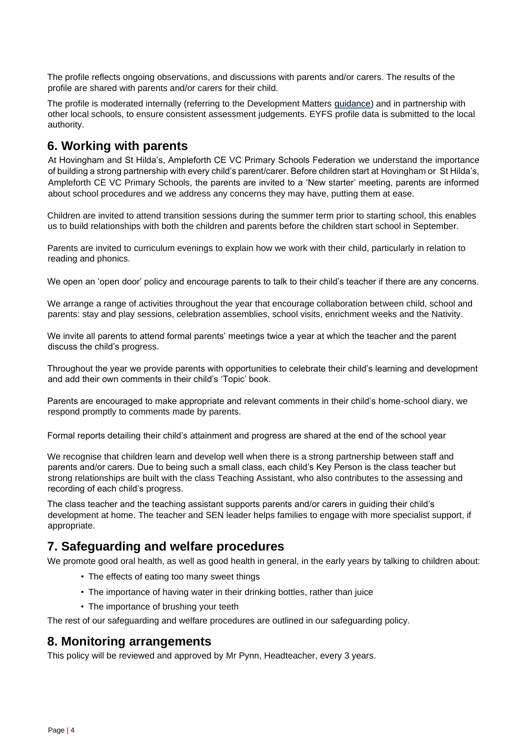The profile reflects ongoing observations, and discussions with parents and/or carers. The results of the profile are shared with parents and/or carers for their child.

The profile is moderated internally (referring to the Development Matters [guidance\)](https://www.gov.uk/government/publications/development-matters--2) and in partnership with other local schools, to ensure consistent assessment judgements. EYFS profile data is submitted to the local authority.

### **6. Working with parents**

At Hovingham and St Hilda's, Ampleforth CE VC Primary Schools Federation we understand the importance of building a strong partnership with every child's parent/carer. Before children start at Hovingham or St Hilda's, Ampleforth CE VC Primary Schools, the parents are invited to a 'New starter' meeting, parents are informed about school procedures and we address any concerns they may have, putting them at ease.

Children are invited to attend transition sessions during the summer term prior to starting school, this enables us to build relationships with both the children and parents before the children start school in September.

Parents are invited to curriculum evenings to explain how we work with their child, particularly in relation to reading and phonics.

We open an 'open door' policy and encourage parents to talk to their child's teacher if there are any concerns.

We arrange a range of activities throughout the year that encourage collaboration between child, school and parents: stay and play sessions, celebration assemblies, school visits, enrichment weeks and the Nativity.

We invite all parents to attend formal parents' meetings twice a year at which the teacher and the parent discuss the child's progress.

Throughout the year we provide parents with opportunities to celebrate their child's learning and development and add their own comments in their child's 'Topic' book.

Parents are encouraged to make appropriate and relevant comments in their child's home-school diary, we respond promptly to comments made by parents.

Formal reports detailing their child's attainment and progress are shared at the end of the school year

We recognise that children learn and develop well when there is a strong partnership between staff and parents and/or carers. Due to being such a small class, each child's Key Person is the class teacher but strong relationships are built with the class Teaching Assistant, who also contributes to the assessing and recording of each child's progress.

The class teacher and the teaching assistant supports parents and/or carers in guiding their child's development at home. The teacher and SEN leader helps families to engage with more specialist support, if appropriate.

### **7. Safeguarding and welfare procedures**

We promote good oral health, as well as good health in general, in the early years by talking to children about:

- The effects of eating too many sweet things
- The importance of having water in their drinking bottles, rather than juice
- The importance of brushing your teeth

The rest of our safeguarding and welfare procedures are outlined in our safeguarding policy.

#### **8. Monitoring arrangements**

This policy will be reviewed and approved by Mr Pynn, Headteacher, every 3 years.